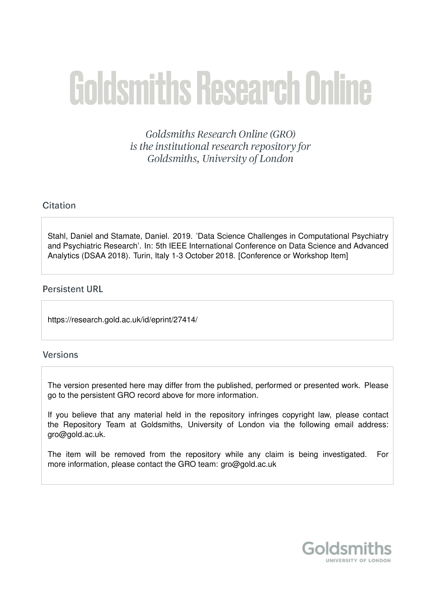# **Goldsmiths Research Online**

Goldsmiths Research Online (GRO) is the institutional research repository for Goldsmiths, University of London

## Citation

Stahl, Daniel and Stamate, Daniel. 2019. 'Data Science Challenges in Computational Psychiatry and Psychiatric Research'. In: 5th IEEE International Conference on Data Science and Advanced Analytics (DSAA 2018). Turin, Italy 1-3 October 2018. [Conference or Workshop Item]

### **Persistent URL**

https://research.gold.ac.uk/id/eprint/27414/

#### **Versions**

The version presented here may differ from the published, performed or presented work. Please go to the persistent GRO record above for more information.

If you believe that any material held in the repository infringes copyright law, please contact the Repository Team at Goldsmiths, University of London via the following email address: gro@gold.ac.uk.

The item will be removed from the repository while any claim is being investigated. For more information, please contact the GRO team: gro@gold.ac.uk

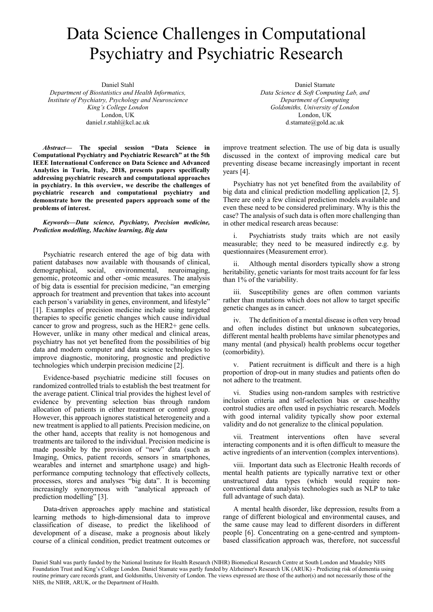# Data Science Challenges in Computational Psychiatry and Psychiatric Research

Daniel Stahl Department of Biostatistics and Health Informatics, Institute of Psychiatry, Psychology and Neuroscience King's College London London, UK daniel.r.stahl@kcl.ac.uk

Abstract— The special session "Data Science in Computational Psychiatry and Psychiatric Research" at the 5th IEEE International Conference on Data Science and Advanced Analytics in Turin, Italy, 2018, presents papers specifically addressing psychiatric research and computational approaches in psychiatry. In this overview, we describe the challenges of psychiatric research and computational psychiatry and demonstrate how the presented papers approach some of the problems of interest.

Keywords—Data science, Psychiatry, Precision medicine, Prediction modelling, Machine learning, Big data

Psychiatric research entered the age of big data with patient databases now available with thousands of clinical, demographical, social, environmental, neuroimaging, genomic, proteomic and other -omic measures. The analysis of big data is essential for precision medicine, "an emerging approach for treatment and prevention that takes into account each person's variability in genes, environment, and lifestyle" [1]. Examples of precision medicine include using targeted therapies to specific genetic changes which cause individual cancer to grow and progress, such as the HER2+ gene cells. However, unlike in many other medical and clinical areas, psychiatry has not yet benefited from the possibilities of big data and modern computer and data science technologies to improve diagnostic, monitoring, prognostic and predictive technologies which underpin precision medicine [2].

Evidence-based psychiatric medicine still focuses on randomized controlled trials to establish the best treatment for the average patient. Clinical trial provides the highest level of evidence by preventing selection bias through random allocation of patients in either treatment or control group. However, this approach ignores statistical heterogeneity and a new treatment is applied to all patients. Precision medicine, on the other hand, accepts that reality is not homogenous and treatments are tailored to the individual. Precision medicine is made possible by the provision of "new" data (such as Imaging, Omics, patient records, sensors in smartphones, wearables and internet and smartphone usage) and highperformance computing technology that effectively collects, processes, stores and analyses "big data". It is becoming increasingly synonymous with "analytical approach of prediction modelling" [3].

Data-driven approaches apply machine and statistical learning methods to high-dimensional data to improve classification of disease, to predict the likelihood of development of a disease, make a prognosis about likely course of a clinical condition, predict treatment outcomes or

Daniel Stamate Data Science & Soft Computing Lab, and Department of Computing Goldsmiths, University of London London, UK d.stamate@gold.ac.uk

improve treatment selection. The use of big data is usually discussed in the context of improving medical care but preventing disease became increasingly important in recent years [4].

Psychiatry has not yet benefited from the availability of big data and clinical prediction modelling application [2, 5]. There are only a few clinical prediction models available and even these need to be considered preliminary. Why is this the case? The analysis of such data is often more challenging than in other medical research areas because:

i. Psychiatrists study traits which are not easily measurable; they need to be measured indirectly e.g. by questionnaires (Measurement error).

ii. Although mental disorders typically show a strong heritability, genetic variants for most traits account for far less than 1% of the variability.

iii. Susceptibility genes are often common variants rather than mutations which does not allow to target specific genetic changes as in cancer.

iv. The definition of a mental disease is often very broad and often includes distinct but unknown subcategories, different mental health problems have similar phenotypes and many mental (and physical) health problems occur together (comorbidity).

v. Patient recruitment is difficult and there is a high proportion of drop-out in many studies and patients often do not adhere to the treatment.

vi. Studies using non-random samples with restrictive inclusion criteria and self-selection bias or case-healthy control studies are often used in psychiatric research. Models with good internal validity typically show poor external validity and do not generalize to the clinical population.

vii. Treatment interventions often have several interacting components and it is often difficult to measure the active ingredients of an intervention (complex interventions).

viii. Important data such as Electronic Health records of mental health patients are typically narrative text or other unstructured data types (which would require nonconventional data analysis technologies such as NLP to take full advantage of such data).

A mental health disorder, like depression, results from a range of different biological and environmental causes, and the same cause may lead to different disorders in different people [6]. Concentrating on a gene-centred and symptombased classification approach was, therefore, not successful

Daniel Stahl was partly funded by the National Institute for Health Research (NIHR) Biomedical Research Centre at South London and Maudsley NHS Foundation Trust and King's College London. Daniel Stamate was partly funded by Alzheimer's Research UK (ARUK) - Predicting risk of dementia using routine primary care records grant, and Goldsmiths, University of London. The views expressed are those of the author(s) and not necessarily those of the NHS, the NIHR, ARUK, or the Department of Health.